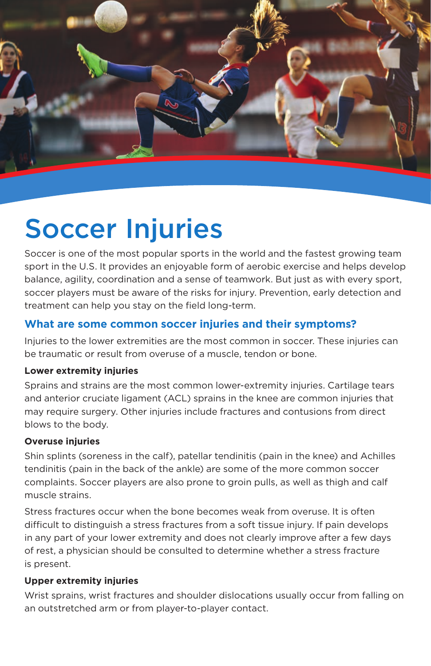

# Soccer Injuries

Soccer is one of the most popular sports in the world and the fastest growing team sport in the U.S. It provides an enjoyable form of aerobic exercise and helps develop balance, agility, coordination and a sense of teamwork. But just as with every sport, soccer players must be aware of the risks for injury. Prevention, early detection and treatment can help you stay on the field long-term.

## **What are some common soccer injuries and their symptoms?**

Injuries to the lower extremities are the most common in soccer. These injuries can be traumatic or result from overuse of a muscle, tendon or bone.

#### **Lower extremity injuries**

Sprains and strains are the most common lower-extremity injuries. Cartilage tears and anterior cruciate ligament (ACL) sprains in the knee are common injuries that may require surgery. Other injuries include fractures and contusions from direct blows to the body.

#### **Overuse injuries**

Shin splints (soreness in the calf), patellar tendinitis (pain in the knee) and Achilles tendinitis (pain in the back of the ankle) are some of the more common soccer complaints. Soccer players are also prone to groin pulls, as well as thigh and calf muscle strains.

Stress fractures occur when the bone becomes weak from overuse. It is often difficult to distinguish a stress fractures from a soft tissue injury. If pain develops in any part of your lower extremity and does not clearly improve after a few days of rest, a physician should be consulted to determine whether a stress fracture is present.

#### **Upper extremity injuries**

Wrist sprains, wrist fractures and shoulder dislocations usually occur from falling on an outstretched arm or from player-to-player contact.